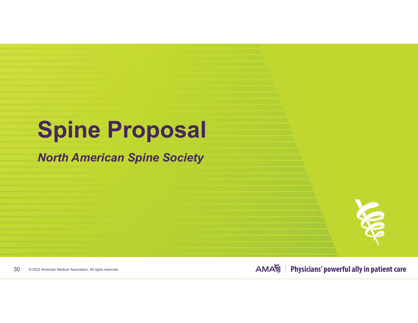# **Spine Proposal**

*North American Spine Society*



© 2022 American Medical Association. All rights reserved. 30

**AMA** Physicians' powerful ally in patient care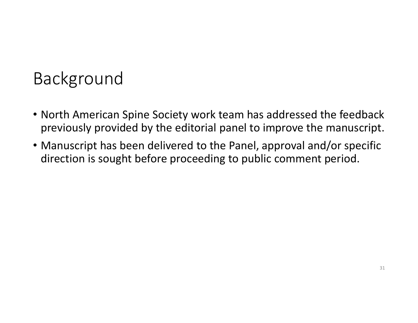# Background

- North American Spine Society work team has addressed the feedback previously provided by the editorial panel to improve the manuscript.
- Manuscript has been delivered to the Panel, approval and/or specific direction is sought before proceeding to public comment period.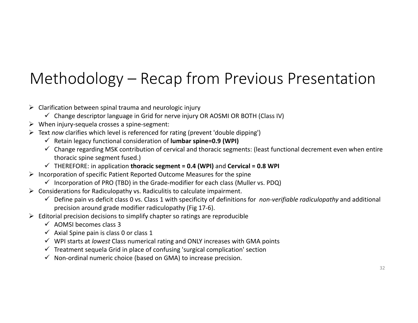## Methodology – Recap from Previous Presentation

- $\triangleright$  Clarification between spinal trauma and neurologic injury
	- $\checkmark$  Change descriptor language in Grid for nerve injury OR AOSMI OR BOTH (Class IV)
- When injury‐sequela crosses <sup>a</sup> spine‐segment:
- Text *now* clarifies which level is referenced for rating (prevent 'double dipping')
	- Retain legacy functional consideration of **lumbar spine=0.9 (WPI)**
	- $\checkmark$  Change regarding MSK contribution of cervical and thoracic segments: (least functional decrement even when entire thoracic spine segment fused.)
	- THEREFORE: in application **thoracic segment <sup>=</sup> 0.4 (WPI)** and **Cervical <sup>=</sup> 0.8 WPI**
- $\triangleright$  Incorporation of specific Patient Reported Outcome Measures for the spine
	- $\checkmark$  Incorporation of PRO (TBD) in the Grade-modifier for each class (Muller vs. PDQ)
- $\triangleright$  Considerations for Radiculopathy vs. Radiculitis to calculate impairment.
	- Define pain vs deficit class 0 vs. Class 1 with specificity of definitions for *non‐verifiable radiculopathy* and additional precision around grade modifier radiculopathy (Fig 17‐6).
- $\triangleright$  Editorial precision decisions to simplify chapter so ratings are reproducible
	- $\checkmark$  AOMSI becomes class 3
	- $\checkmark$  Axial Spine pain is class 0 or class 1
	- WPI starts at *lowest* Class numerical rating and ONLY increases with GMA points
	- $\checkmark$  Treatment sequela Grid in place of confusing 'surgical complication' section
	- $\checkmark$  Non-ordinal numeric choice (based on GMA) to increase precision.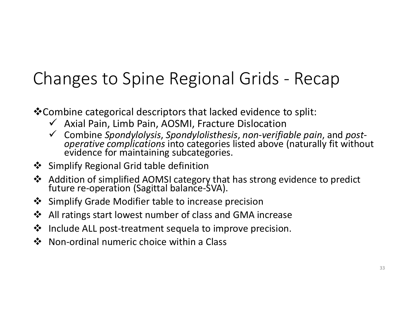# Changes to Spine Regional Grids ‐ Recap

Combine categorical descriptors that lacked evidence to split:

- $\checkmark$  Axial Pain, Limb Pain, AOSMI, Fracture Dislocation
- Combine *Spondylolysis*, *Spondylolisthesis*, *non‐verifiable pain*, and *post‐ operative complications* into categories listed above (naturally fit without evidence for maintaining subcategories.
- Simplify Regional Grid table definition
- Addition of simplified AOMSI category that has strong evidence to predict future re‐operation (Sagittal balance‐SVA).
- Simplify Grade Modifier table to increase precision
- $\frac{1}{2}$ All ratings start lowest number of class and GMA increase
- $\frac{1}{2}$ Include ALL post‐treatment sequela to improve precision.
- $\frac{1}{2}$ Non‐ordinal numeric choice within <sup>a</sup> Class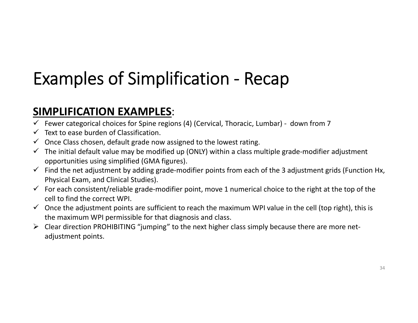# Examples of Simplification ‐ Recap

#### **SIMPLIFICATION EXAMPLES**:

- Fewer categorical choices for Spine regions (4) (Cervical, Thoracic, Lumbar) down from 7
- $\checkmark$  Text to ease burden of Classification.
- $\checkmark$  Once Class chosen, default grade now assigned to the lowest rating.
- $\checkmark$  The initial default value may be modified up (ONLY) within a class multiple grade-modifier adjustment opportunities using simplified (GMA figures).
- $\checkmark$  Find the net adjustment by adding grade-modifier points from each of the 3 adjustment grids (Function Hx, Physical Exam, and Clinical Studies).
- $\checkmark$  For each consistent/reliable grade-modifier point, move 1 numerical choice to the right at the top of the cell to find the correct WPI.
- $\checkmark$  Once the adjustment points are sufficient to reach the maximum WPI value in the cell (top right), this is the maximum WPI permissible for that diagnosis and class.
- Clear direction PROHIBITING "jumping" to the next higher class simply because there are more net‐ adjustment points.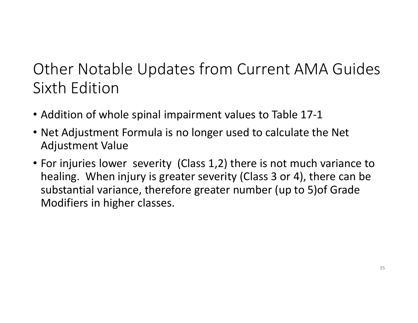### Other Notable Updates from Current AMA Guides Sixth Edition

- Addition of whole spinal impairment values to Table 17‐1
- Net Adjustment Formula is no longer used to calculate the Net Adjustment Value
- For injuries lower severity (Class 1,2) there is not much variance to healing. When injury is greater severity (Class 3 or 4), there can be substantial variance, therefore greater number (up to 5)of Grade Modifiers in higher classes.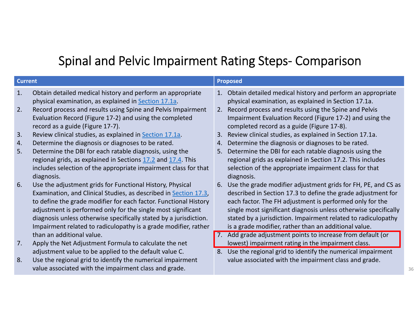### Spinal and Pelvic Impairment Rating Steps‐ Comparison

| <b>Current</b> |                                                                                                                                                                                                                                                                                                                                                                                                           | <b>Proposed</b> |                                                                                                                                                                                                                                                                                                                                                                                        |
|----------------|-----------------------------------------------------------------------------------------------------------------------------------------------------------------------------------------------------------------------------------------------------------------------------------------------------------------------------------------------------------------------------------------------------------|-----------------|----------------------------------------------------------------------------------------------------------------------------------------------------------------------------------------------------------------------------------------------------------------------------------------------------------------------------------------------------------------------------------------|
| 1.             | Obtain detailed medical history and perform an appropriate<br>physical examination, as explained in Section 17.1a.                                                                                                                                                                                                                                                                                        |                 | 1. Obtain detailed medical history and perform an appropriate<br>physical examination, as explained in Section 17.1a.                                                                                                                                                                                                                                                                  |
| 2.             | Record process and results using Spine and Pelvis Impairment<br>Evaluation Record (Figure 17-2) and using the completed<br>record as a guide (Figure 17-7).                                                                                                                                                                                                                                               |                 | 2. Record process and results using the Spine and Pelvis<br>Impairment Evaluation Record (Figure 17-2) and using the<br>completed record as a guide (Figure 17-8).                                                                                                                                                                                                                     |
| 3.             | Review clinical studies, as explained in <b>Section 17.1a</b> .                                                                                                                                                                                                                                                                                                                                           | 3.              | Review clinical studies, as explained in Section 17.1a.                                                                                                                                                                                                                                                                                                                                |
| 4.             | Determine the diagnosis or diagnoses to be rated.                                                                                                                                                                                                                                                                                                                                                         | 4.              | Determine the diagnosis or diagnoses to be rated.                                                                                                                                                                                                                                                                                                                                      |
| 5.             | Determine the DBI for each ratable diagnosis, using the<br>regional grids, as explained in Sections 17.2 and 17.4. This<br>includes selection of the appropriate impairment class for that<br>diagnosis.                                                                                                                                                                                                  | 5 <sub>1</sub>  | Determine the DBI for each ratable diagnosis using the<br>regional grids as explained in Section 17.2. This includes<br>selection of the appropriate impairment class for that<br>diagnosis.                                                                                                                                                                                           |
| 6.             | Use the adjustment grids for Functional History, Physical<br>Examination, and Clinical Studies, as described in Section 17.3,<br>to define the grade modifier for each factor. Functional History<br>adjustment is performed only for the single most significant<br>diagnosis unless otherwise specifically stated by a jurisdiction.<br>Impairment related to radiculopathy is a grade modifier, rather | 6.              | Use the grade modifier adjustment grids for FH, PE, and CS as<br>described in Section 17.3 to define the grade adjustment for<br>each factor. The FH adjustment is performed only for the<br>single most significant diagnosis unless otherwise specifically<br>stated by a jurisdiction. Impairment related to radiculopathy<br>is a grade modifier, rather than an additional value. |
|                | than an additional value.                                                                                                                                                                                                                                                                                                                                                                                 |                 | Add grade adjustment points to increase from default (or                                                                                                                                                                                                                                                                                                                               |
| 7.             | Apply the Net Adjustment Formula to calculate the net                                                                                                                                                                                                                                                                                                                                                     |                 | lowest) impairment rating in the impairment class.                                                                                                                                                                                                                                                                                                                                     |
|                | adjustment value to be applied to the default value C.                                                                                                                                                                                                                                                                                                                                                    | 8.              | Use the regional grid to identify the numerical impairment                                                                                                                                                                                                                                                                                                                             |
| 8.             | Use the regional grid to identify the numerical impairment<br>value associated with the impairment class and grade.                                                                                                                                                                                                                                                                                       |                 | value associated with the impairment class and grade.                                                                                                                                                                                                                                                                                                                                  |